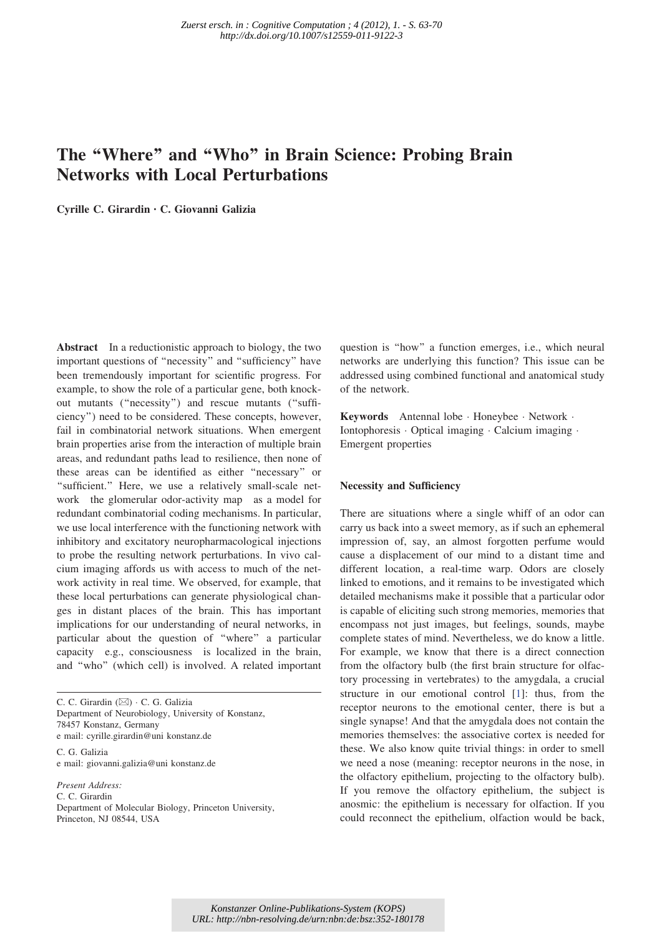# The "Where" and "Who" in Brain Science: Probing Brain Networks with Local Perturbations

Cyrille C. Girardin • C. Giovanni Galizia

Abstract In a reductionistic approach to biology, the two important questions of ''necessity'' and ''sufficiency'' have been tremendously important for scientific progress. For example, to show the role of a particular gene, both knockout mutants (''necessity'') and rescue mutants (''sufficiency'') need to be considered. These concepts, however, fail in combinatorial network situations. When emergent brain properties arise from the interaction of multiple brain areas, and redundant paths lead to resilience, then none of these areas can be identified as either ''necessary'' or "sufficient." Here, we use a relatively small-scale network the glomerular odor-activity map as a model for redundant combinatorial coding mechanisms. In particular, we use local interference with the functioning network with inhibitory and excitatory neuropharmacological injections to probe the resulting network perturbations. In vivo calcium imaging affords us with access to much of the network activity in real time. We observed, for example, that these local perturbations can generate physiological changes in distant places of the brain. This has important implications for our understanding of neural networks, in particular about the question of ''where'' a particular capacity e.g., consciousness is localized in the brain, and ''who'' (which cell) is involved. A related important

C. C. Girardin (&) - C. G. Galizia Department of Neurobiology, University of Konstanz, 78457 Konstanz, Germany e mail: cyrille.girardin@uni konstanz.de C. G. Galizia e mail: giovanni.galizia@uni konstanz.de

Present Address: C. C. Girardin Department of Molecular Biology, Princeton University, Princeton, NJ 08544, USA

question is ''how'' a function emerges, i.e., which neural networks are underlying this function? This issue can be addressed using combined functional and anatomical study of the network.

Keywords Antennal lobe - Honeybee - Network - Iontophoresis - Optical imaging - Calcium imaging - Emergent properties

### Necessity and Sufficiency

There are situations where a single whiff of an odor can carry us back into a sweet memory, as if such an ephemeral impression of, say, an almost forgotten perfume would cause a displacement of our mind to a distant time and different location, a real-time warp. Odors are closely linked to emotions, and it remains to be investigated which detailed mechanisms make it possible that a particular odor is capable of eliciting such strong memories, memories that encompass not just images, but feelings, sounds, maybe complete states of mind. Nevertheless, we do know a little. For example, we know that there is a direct connection from the olfactory bulb (the first brain structure for olfactory processing in vertebrates) to the amygdala, a crucial structure in our emotional control [1]: thus, from the receptor neurons to the emotional center, there is but a single synapse! And that the amygdala does not contain the memories themselves: the associative cortex is needed for these. We also know quite trivial things: in order to smell we need a nose (meaning: receptor neurons in the nose, in the olfactory epithelium, projecting to the olfactory bulb). If you remove the olfactory epithelium, the subject is anosmic: the epithelium is necessary for olfaction. If you could reconnect the epithelium, olfaction would be back,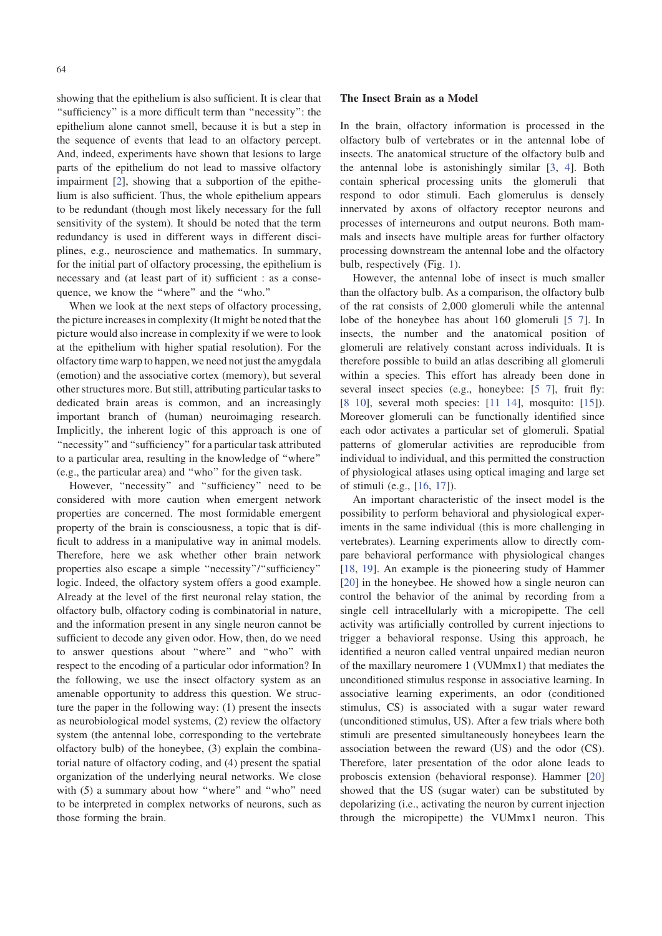showing that the epithelium is also sufficient. It is clear that "sufficiency" is a more difficult term than "necessity": the epithelium alone cannot smell, because it is but a step in the sequence of events that lead to an olfactory percept. And, indeed, experiments have shown that lesions to large parts of the epithelium do not lead to massive olfactory impairment [2], showing that a subportion of the epithelium is also sufficient. Thus, the whole epithelium appears to be redundant (though most likely necessary for the full sensitivity of the system). It should be noted that the term redundancy is used in different ways in different disciplines, e.g., neuroscience and mathematics. In summary, for the initial part of olfactory processing, the epithelium is necessary and (at least part of it) sufficient : as a consequence, we know the ''where'' and the ''who.''

When we look at the next steps of olfactory processing, the picture increases in complexity (It might be noted that the picture would also increase in complexity if we were to look at the epithelium with higher spatial resolution). For the olfactory time warp to happen, we need not just the amygdala (emotion) and the associative cortex (memory), but several other structures more. But still, attributing particular tasks to dedicated brain areas is common, and an increasingly important branch of (human) neuroimaging research. Implicitly, the inherent logic of this approach is one of ''necessity'' and ''sufficiency'' for a particular task attributed to a particular area, resulting in the knowledge of ''where'' (e.g., the particular area) and ''who'' for the given task.

However, "necessity" and "sufficiency" need to be considered with more caution when emergent network properties are concerned. The most formidable emergent property of the brain is consciousness, a topic that is difficult to address in a manipulative way in animal models. Therefore, here we ask whether other brain network properties also escape a simple ''necessity''/''sufficiency'' logic. Indeed, the olfactory system offers a good example. Already at the level of the first neuronal relay station, the olfactory bulb, olfactory coding is combinatorial in nature, and the information present in any single neuron cannot be sufficient to decode any given odor. How, then, do we need to answer questions about ''where'' and ''who'' with respect to the encoding of a particular odor information? In the following, we use the insect olfactory system as an amenable opportunity to address this question. We structure the paper in the following way: (1) present the insects as neurobiological model systems, (2) review the olfactory system (the antennal lobe, corresponding to the vertebrate olfactory bulb) of the honeybee, (3) explain the combinatorial nature of olfactory coding, and (4) present the spatial organization of the underlying neural networks. We close with (5) a summary about how ''where'' and ''who'' need to be interpreted in complex networks of neurons, such as those forming the brain.

#### The Insect Brain as a Model

In the brain, olfactory information is processed in the olfactory bulb of vertebrates or in the antennal lobe of insects. The anatomical structure of the olfactory bulb and the antennal lobe is astonishingly similar [3, 4]. Both contain spherical processing units the glomeruli that respond to odor stimuli. Each glomerulus is densely innervated by axons of olfactory receptor neurons and processes of interneurons and output neurons. Both mammals and insects have multiple areas for further olfactory processing downstream the antennal lobe and the olfactory bulb, respectively (Fig. 1).

However, the antennal lobe of insect is much smaller than the olfactory bulb. As a comparison, the olfactory bulb of the rat consists of 2,000 glomeruli while the antennal lobe of the honeybee has about 160 glomeruli [5 7]. In insects, the number and the anatomical position of glomeruli are relatively constant across individuals. It is therefore possible to build an atlas describing all glomeruli within a species. This effort has already been done in several insect species (e.g., honeybee: [5 7], fruit fly: [8 10], several moth species: [11 14], mosquito: [15]). Moreover glomeruli can be functionally identified since each odor activates a particular set of glomeruli. Spatial patterns of glomerular activities are reproducible from individual to individual, and this permitted the construction of physiological atlases using optical imaging and large set of stimuli (e.g., [16, 17]).

An important characteristic of the insect model is the possibility to perform behavioral and physiological experiments in the same individual (this is more challenging in vertebrates). Learning experiments allow to directly compare behavioral performance with physiological changes [18, 19]. An example is the pioneering study of Hammer [20] in the honeybee. He showed how a single neuron can control the behavior of the animal by recording from a single cell intracellularly with a micropipette. The cell activity was artificially controlled by current injections to trigger a behavioral response. Using this approach, he identified a neuron called ventral unpaired median neuron of the maxillary neuromere 1 (VUMmx1) that mediates the unconditioned stimulus response in associative learning. In associative learning experiments, an odor (conditioned stimulus, CS) is associated with a sugar water reward (unconditioned stimulus, US). After a few trials where both stimuli are presented simultaneously honeybees learn the association between the reward (US) and the odor (CS). Therefore, later presentation of the odor alone leads to proboscis extension (behavioral response). Hammer [20] showed that the US (sugar water) can be substituted by depolarizing (i.e., activating the neuron by current injection through the micropipette) the VUMmx1 neuron. This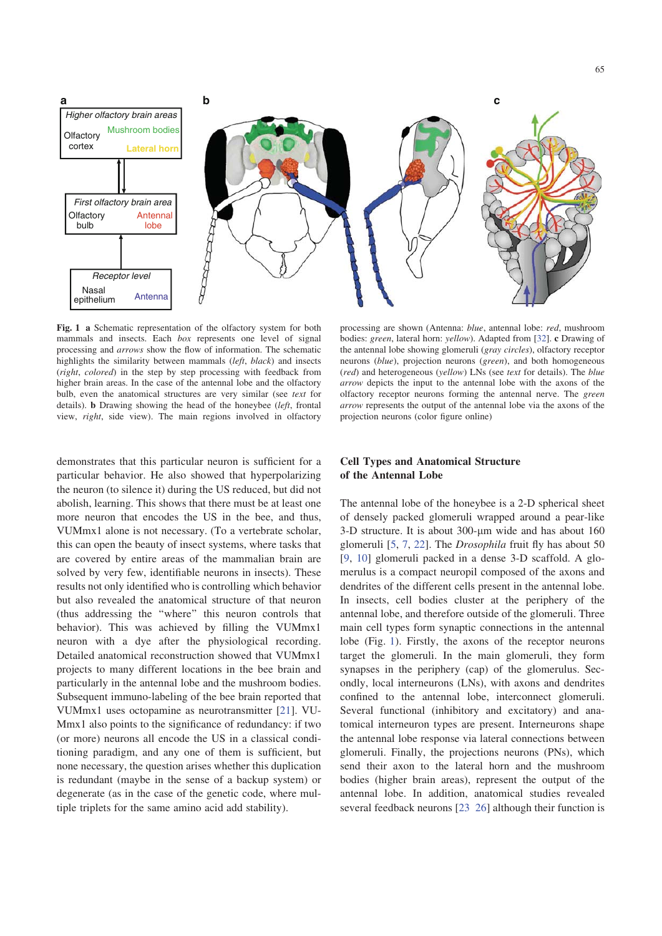

Fig. 1 a Schematic representation of the olfactory system for both mammals and insects. Each box represents one level of signal processing and arrows show the flow of information. The schematic highlights the similarity between mammals (left, black) and insects (right, colored) in the step by step processing with feedback from higher brain areas. In the case of the antennal lobe and the olfactory bulb, even the anatomical structures are very similar (see text for details). **b** Drawing showing the head of the honeybee (left, frontal view, right, side view). The main regions involved in olfactory

processing are shown (Antenna: blue, antennal lobe: red, mushroom bodies: green, lateral horn: yellow). Adapted from [32]. c Drawing of the antennal lobe showing glomeruli (gray circles), olfactory receptor neurons (blue), projection neurons (green), and both homogeneous (red) and heterogeneous (yellow) LNs (see text for details). The blue arrow depicts the input to the antennal lobe with the axons of the olfactory receptor neurons forming the antennal nerve. The green arrow represents the output of the antennal lobe via the axons of the projection neurons (color figure online)

demonstrates that this particular neuron is sufficient for a particular behavior. He also showed that hyperpolarizing the neuron (to silence it) during the US reduced, but did not abolish, learning. This shows that there must be at least one more neuron that encodes the US in the bee, and thus, VUMmx1 alone is not necessary. (To a vertebrate scholar, this can open the beauty of insect systems, where tasks that are covered by entire areas of the mammalian brain are solved by very few, identifiable neurons in insects). These results not only identified who is controlling which behavior but also revealed the anatomical structure of that neuron (thus addressing the ''where'' this neuron controls that behavior). This was achieved by filling the VUMmx1 neuron with a dye after the physiological recording. Detailed anatomical reconstruction showed that VUMmx1 projects to many different locations in the bee brain and particularly in the antennal lobe and the mushroom bodies. Subsequent immuno-labeling of the bee brain reported that VUMmx1 uses octopamine as neurotransmitter [21]. VU-Mmx1 also points to the significance of redundancy: if two (or more) neurons all encode the US in a classical conditioning paradigm, and any one of them is sufficient, but none necessary, the question arises whether this duplication is redundant (maybe in the sense of a backup system) or degenerate (as in the case of the genetic code, where multiple triplets for the same amino acid add stability).

## Cell Types and Anatomical Structure of the Antennal Lobe

The antennal lobe of the honeybee is a 2-D spherical sheet of densely packed glomeruli wrapped around a pear-like 3-D structure. It is about 300-um wide and has about 160 glomeruli [5, 7, 22]. The Drosophila fruit fly has about 50 [9, 10] glomeruli packed in a dense 3-D scaffold. A glomerulus is a compact neuropil composed of the axons and dendrites of the different cells present in the antennal lobe. In insects, cell bodies cluster at the periphery of the antennal lobe, and therefore outside of the glomeruli. Three main cell types form synaptic connections in the antennal lobe (Fig. 1). Firstly, the axons of the receptor neurons target the glomeruli. In the main glomeruli, they form synapses in the periphery (cap) of the glomerulus. Secondly, local interneurons (LNs), with axons and dendrites confined to the antennal lobe, interconnect glomeruli. Several functional (inhibitory and excitatory) and anatomical interneuron types are present. Interneurons shape the antennal lobe response via lateral connections between glomeruli. Finally, the projections neurons (PNs), which send their axon to the lateral horn and the mushroom bodies (higher brain areas), represent the output of the antennal lobe. In addition, anatomical studies revealed several feedback neurons [23 26] although their function is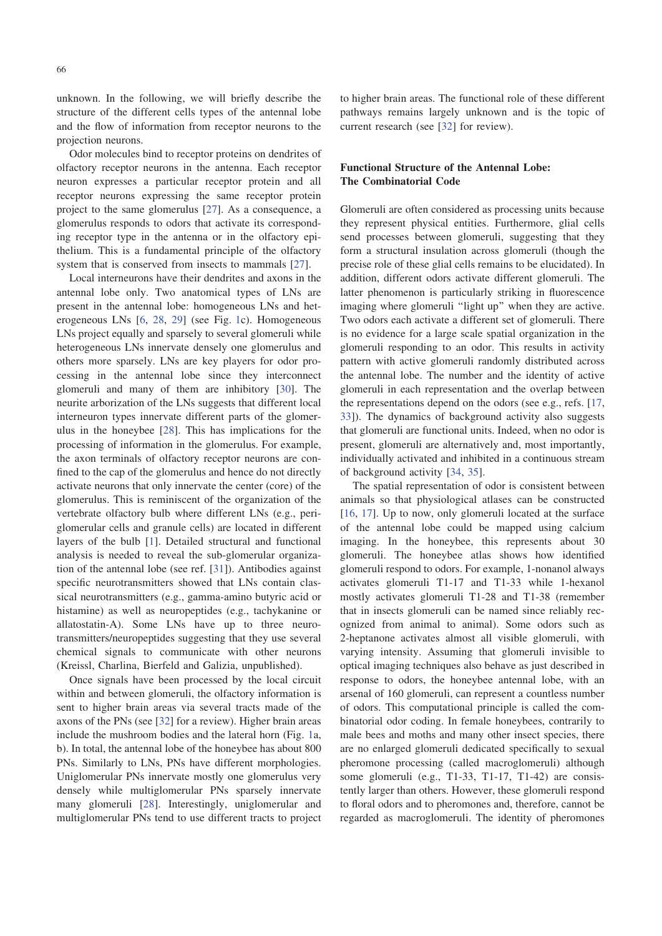unknown. In the following, we will briefly describe the structure of the different cells types of the antennal lobe and the flow of information from receptor neurons to the projection neurons.

Odor molecules bind to receptor proteins on dendrites of olfactory receptor neurons in the antenna. Each receptor neuron expresses a particular receptor protein and all receptor neurons expressing the same receptor protein project to the same glomerulus [27]. As a consequence, a glomerulus responds to odors that activate its corresponding receptor type in the antenna or in the olfactory epithelium. This is a fundamental principle of the olfactory system that is conserved from insects to mammals [27].

Local interneurons have their dendrites and axons in the antennal lobe only. Two anatomical types of LNs are present in the antennal lobe: homogeneous LNs and heterogeneous LNs [6, 28, 29] (see Fig. 1c). Homogeneous LNs project equally and sparsely to several glomeruli while heterogeneous LNs innervate densely one glomerulus and others more sparsely. LNs are key players for odor processing in the antennal lobe since they interconnect glomeruli and many of them are inhibitory [30]. The neurite arborization of the LNs suggests that different local interneuron types innervate different parts of the glomerulus in the honeybee [28]. This has implications for the processing of information in the glomerulus. For example, the axon terminals of olfactory receptor neurons are confined to the cap of the glomerulus and hence do not directly activate neurons that only innervate the center (core) of the glomerulus. This is reminiscent of the organization of the vertebrate olfactory bulb where different LNs (e.g., periglomerular cells and granule cells) are located in different layers of the bulb [1]. Detailed structural and functional analysis is needed to reveal the sub-glomerular organization of the antennal lobe (see ref. [31]). Antibodies against specific neurotransmitters showed that LNs contain classical neurotransmitters (e.g., gamma-amino butyric acid or histamine) as well as neuropeptides (e.g., tachykanine or allatostatin-A). Some LNs have up to three neurotransmitters/neuropeptides suggesting that they use several chemical signals to communicate with other neurons (Kreissl, Charlina, Bierfeld and Galizia, unpublished).

Once signals have been processed by the local circuit within and between glomeruli, the olfactory information is sent to higher brain areas via several tracts made of the axons of the PNs (see [32] for a review). Higher brain areas include the mushroom bodies and the lateral horn (Fig. 1a, b). In total, the antennal lobe of the honeybee has about 800 PNs. Similarly to LNs, PNs have different morphologies. Uniglomerular PNs innervate mostly one glomerulus very densely while multiglomerular PNs sparsely innervate many glomeruli [28]. Interestingly, uniglomerular and multiglomerular PNs tend to use different tracts to project

to higher brain areas. The functional role of these different pathways remains largely unknown and is the topic of current research (see [32] for review).

# Functional Structure of the Antennal Lobe: The Combinatorial Code

Glomeruli are often considered as processing units because they represent physical entities. Furthermore, glial cells send processes between glomeruli, suggesting that they form a structural insulation across glomeruli (though the precise role of these glial cells remains to be elucidated). In addition, different odors activate different glomeruli. The latter phenomenon is particularly striking in fluorescence imaging where glomeruli "light up" when they are active. Two odors each activate a different set of glomeruli. There is no evidence for a large scale spatial organization in the glomeruli responding to an odor. This results in activity pattern with active glomeruli randomly distributed across the antennal lobe. The number and the identity of active glomeruli in each representation and the overlap between the representations depend on the odors (see e.g., refs. [17, 33]). The dynamics of background activity also suggests that glomeruli are functional units. Indeed, when no odor is present, glomeruli are alternatively and, most importantly, individually activated and inhibited in a continuous stream of background activity [34, 35].

The spatial representation of odor is consistent between animals so that physiological atlases can be constructed [16, 17]. Up to now, only glomeruli located at the surface of the antennal lobe could be mapped using calcium imaging. In the honeybee, this represents about 30 glomeruli. The honeybee atlas shows how identified glomeruli respond to odors. For example, 1-nonanol always activates glomeruli T1-17 and T1-33 while 1-hexanol mostly activates glomeruli T1-28 and T1-38 (remember that in insects glomeruli can be named since reliably recognized from animal to animal). Some odors such as 2-heptanone activates almost all visible glomeruli, with varying intensity. Assuming that glomeruli invisible to optical imaging techniques also behave as just described in response to odors, the honeybee antennal lobe, with an arsenal of 160 glomeruli, can represent a countless number of odors. This computational principle is called the combinatorial odor coding. In female honeybees, contrarily to male bees and moths and many other insect species, there are no enlarged glomeruli dedicated specifically to sexual pheromone processing (called macroglomeruli) although some glomeruli (e.g., T1-33, T1-17, T1-42) are consistently larger than others. However, these glomeruli respond to floral odors and to pheromones and, therefore, cannot be regarded as macroglomeruli. The identity of pheromones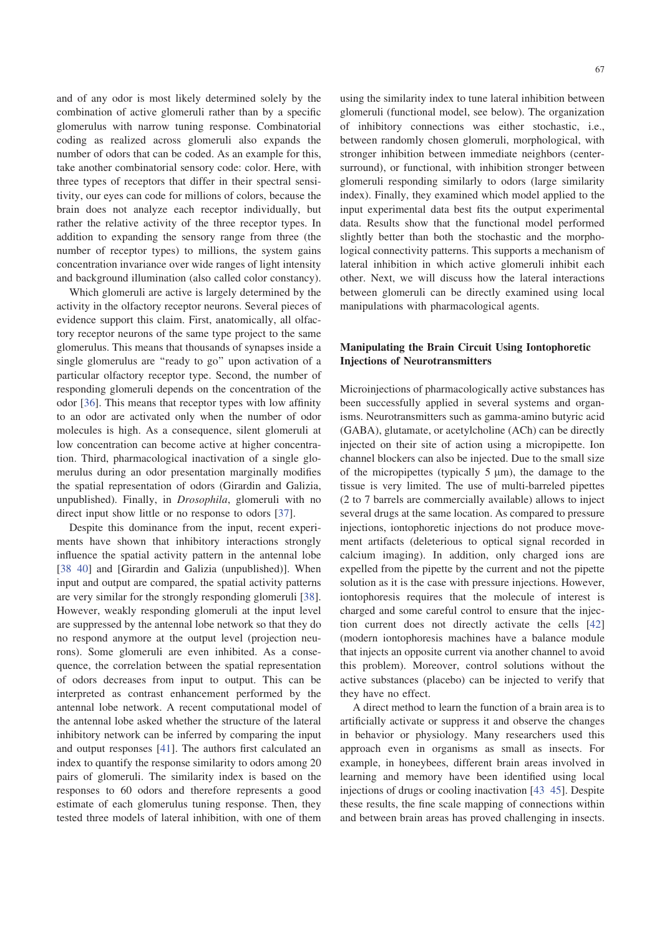and of any odor is most likely determined solely by the combination of active glomeruli rather than by a specific glomerulus with narrow tuning response. Combinatorial coding as realized across glomeruli also expands the number of odors that can be coded. As an example for this, take another combinatorial sensory code: color. Here, with three types of receptors that differ in their spectral sensitivity, our eyes can code for millions of colors, because the brain does not analyze each receptor individually, but rather the relative activity of the three receptor types. In addition to expanding the sensory range from three (the number of receptor types) to millions, the system gains concentration invariance over wide ranges of light intensity and background illumination (also called color constancy).

Which glomeruli are active is largely determined by the activity in the olfactory receptor neurons. Several pieces of evidence support this claim. First, anatomically, all olfactory receptor neurons of the same type project to the same glomerulus. This means that thousands of synapses inside a single glomerulus are ''ready to go'' upon activation of a particular olfactory receptor type. Second, the number of responding glomeruli depends on the concentration of the odor [36]. This means that receptor types with low affinity to an odor are activated only when the number of odor molecules is high. As a consequence, silent glomeruli at low concentration can become active at higher concentration. Third, pharmacological inactivation of a single glomerulus during an odor presentation marginally modifies the spatial representation of odors (Girardin and Galizia, unpublished). Finally, in Drosophila, glomeruli with no direct input show little or no response to odors [37].

Despite this dominance from the input, recent experiments have shown that inhibitory interactions strongly influence the spatial activity pattern in the antennal lobe [38 40] and [Girardin and Galizia (unpublished)]. When input and output are compared, the spatial activity patterns are very similar for the strongly responding glomeruli [38]. However, weakly responding glomeruli at the input level are suppressed by the antennal lobe network so that they do no respond anymore at the output level (projection neurons). Some glomeruli are even inhibited. As a consequence, the correlation between the spatial representation of odors decreases from input to output. This can be interpreted as contrast enhancement performed by the antennal lobe network. A recent computational model of the antennal lobe asked whether the structure of the lateral inhibitory network can be inferred by comparing the input and output responses [41]. The authors first calculated an index to quantify the response similarity to odors among 20 pairs of glomeruli. The similarity index is based on the responses to 60 odors and therefore represents a good estimate of each glomerulus tuning response. Then, they tested three models of lateral inhibition, with one of them using the similarity index to tune lateral inhibition between glomeruli (functional model, see below). The organization of inhibitory connections was either stochastic, i.e., between randomly chosen glomeruli, morphological, with stronger inhibition between immediate neighbors (centersurround), or functional, with inhibition stronger between glomeruli responding similarly to odors (large similarity index). Finally, they examined which model applied to the input experimental data best fits the output experimental data. Results show that the functional model performed slightly better than both the stochastic and the morphological connectivity patterns. This supports a mechanism of lateral inhibition in which active glomeruli inhibit each other. Next, we will discuss how the lateral interactions between glomeruli can be directly examined using local manipulations with pharmacological agents.

# Manipulating the Brain Circuit Using Iontophoretic Injections of Neurotransmitters

Microinjections of pharmacologically active substances has been successfully applied in several systems and organisms. Neurotransmitters such as gamma-amino butyric acid (GABA), glutamate, or acetylcholine (ACh) can be directly injected on their site of action using a micropipette. Ion channel blockers can also be injected. Due to the small size of the micropipettes (typically  $5 \mu m$ ), the damage to the tissue is very limited. The use of multi-barreled pipettes (2 to 7 barrels are commercially available) allows to inject several drugs at the same location. As compared to pressure injections, iontophoretic injections do not produce movement artifacts (deleterious to optical signal recorded in calcium imaging). In addition, only charged ions are expelled from the pipette by the current and not the pipette solution as it is the case with pressure injections. However, iontophoresis requires that the molecule of interest is charged and some careful control to ensure that the injection current does not directly activate the cells [42] (modern iontophoresis machines have a balance module that injects an opposite current via another channel to avoid this problem). Moreover, control solutions without the active substances (placebo) can be injected to verify that they have no effect.

A direct method to learn the function of a brain area is to artificially activate or suppress it and observe the changes in behavior or physiology. Many researchers used this approach even in organisms as small as insects. For example, in honeybees, different brain areas involved in learning and memory have been identified using local injections of drugs or cooling inactivation [43 45]. Despite these results, the fine scale mapping of connections within and between brain areas has proved challenging in insects.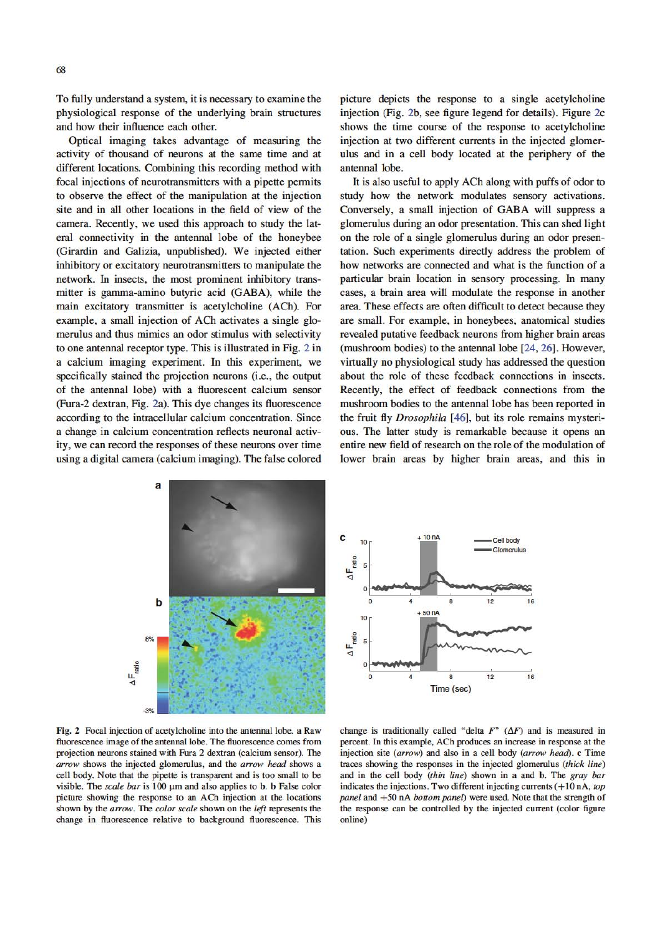To fully understand a system, it is necessary to examine the physiological response of the underlying brain structures and how their influence each other.

Optical imaging takes advantage of measuring the activity of thousand of neurons at the same time and at different locations. Combining this recording method with focal injections of neurotransmitters with a pipette permits to observe the effect of the manipulation at the injection site and in all other locations in the field of view of the camera. Recently, we used this approach to study the lateral connectivity in the antennal lobe of the honeybee (Girardin and Galizia, unpublished). We injected either inhibitory or excitatory neurotransmitters to manipulate the network. In insects, the most prominent inhibitory transmitter is gamma-amino butyric acid (GABA), while the main excitatory transmitter is acetylcholine (ACh). For example, a small injection of ACh activates a single glomerulus and thus mimics an odor stimulus with selectivity to one antennal receptor type. This is illustrated in Fig. 2 in a calcium imaging experiment. In this experiment, we specifically stained the projection neurons (i.e., the output of the antennal lobe) with a fluorescent calcium sensor (Fura-2 dextran, Fig. 2a). This dye changes its fluorescence according to the intracellular calcium concentration. Since a change in calcium concentration reflects neuronal activity, we can record the responses of these neurons over time using a digital camera (calcium imaging). The false colored picture depicts the response to a single acetylcholine injection (Fig. 2b, see figure legend for details). Figure 2c shows the time course of the response to acetylcholine injection at two different currents in the injected glomerulus and in a cell body located at the periphery of the antennal lobe.

It is also useful to apply ACh along with puffs of odor to study how the network modulates sensory activations. Conversely, a small injection of GABA will suppress a glomerulus during an odor presentation. This can shed light on the role of a single glomerulus during an odor presentation. Such experiments directly address the problem of how networks are connected and what is the function of a particular brain location in sensory processing. In many cases, a brain area will modulate the response in another area. These effects are often difficult to detect because they are small. For example, in honeybees, anatomical studies revealed putative feedback neurons from higher brain areas (mushroom bodies) to the antennal lobe [24, 26]. However, virtually no physiological study has addressed the question about the role of these feedback connections in insects. Recently, the effect of feedback connections from the mushroom bodies to the antennal lobe has been reported in the fruit fly Drosophila [46], but its role remains mysterious. The latter study is remarkable because it opens an entire new field of research on the role of the modulation of lower brain areas by higher brain areas, and this in



Fig. 2 Focal injection of acetylcholine into the antennal lobe. a Raw fluorescence image of the antennal lobe. The fluorescence comes from projection neurons stained with Fura 2 dextran (calcium sensor). The arrow shows the injected glomerulus, and the arrow head shows a cell body. Note that the pipette is transparent and is too small to be visible. The scale bar is 100 µm and also applies to b. b False color picture showing the response to an ACh injection at the locations shown by the arrow. The color scale shown on the left represents the change in fluorescence relative to background fluorescence. This



change is traditionally called "delta  $F$ " ( $\Delta F$ ) and is measured in percent. In this example, ACh produces an increase in response at the injection site (arrow) and also in a cell body (arrow head), c Time traces showing the responses in the injected glomerulus (thick line) and in the cell body (thin line) shown in a and b. The gray bar indicates the injections. Two different injecting currents  $(+10 \text{ nA}, top)$ panel and +50 nA bottom panel) were used. Note that the strength of the response can be controlled by the injected current (color figure online)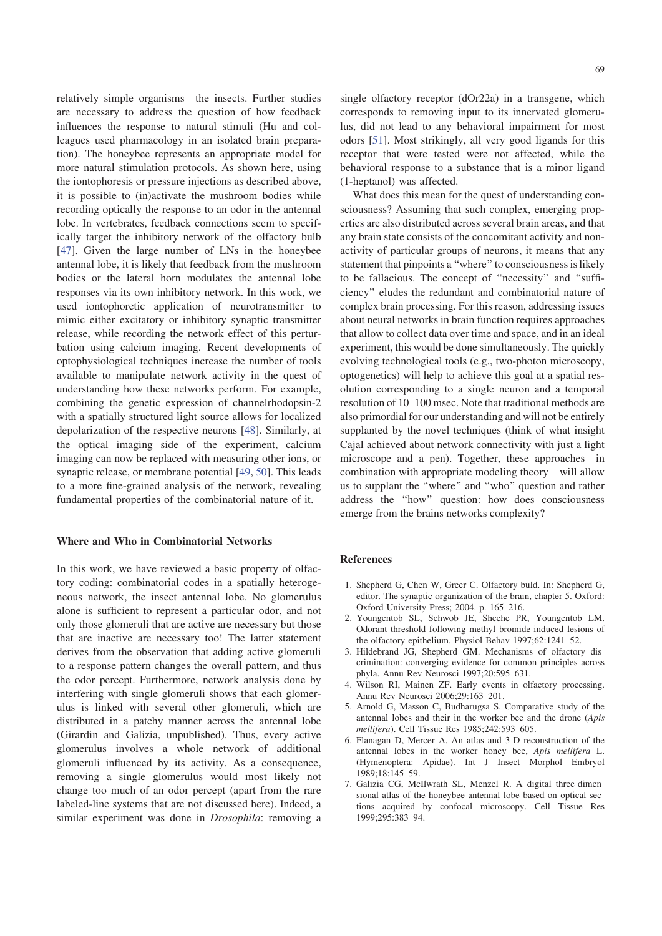relatively simple organisms the insects. Further studies are necessary to address the question of how feedback influences the response to natural stimuli (Hu and colleagues used pharmacology in an isolated brain preparation). The honeybee represents an appropriate model for more natural stimulation protocols. As shown here, using the iontophoresis or pressure injections as described above, it is possible to (in)activate the mushroom bodies while recording optically the response to an odor in the antennal lobe. In vertebrates, feedback connections seem to specifically target the inhibitory network of the olfactory bulb [47]. Given the large number of LNs in the honeybee antennal lobe, it is likely that feedback from the mushroom bodies or the lateral horn modulates the antennal lobe responses via its own inhibitory network. In this work, we used iontophoretic application of neurotransmitter to mimic either excitatory or inhibitory synaptic transmitter release, while recording the network effect of this perturbation using calcium imaging. Recent developments of optophysiological techniques increase the number of tools available to manipulate network activity in the quest of understanding how these networks perform. For example, combining the genetic expression of channelrhodopsin-2 with a spatially structured light source allows for localized depolarization of the respective neurons [48]. Similarly, at the optical imaging side of the experiment, calcium imaging can now be replaced with measuring other ions, or synaptic release, or membrane potential [49, 50]. This leads to a more fine-grained analysis of the network, revealing fundamental properties of the combinatorial nature of it.

## Where and Who in Combinatorial Networks

In this work, we have reviewed a basic property of olfactory coding: combinatorial codes in a spatially heterogeneous network, the insect antennal lobe. No glomerulus alone is sufficient to represent a particular odor, and not only those glomeruli that are active are necessary but those that are inactive are necessary too! The latter statement derives from the observation that adding active glomeruli to a response pattern changes the overall pattern, and thus the odor percept. Furthermore, network analysis done by interfering with single glomeruli shows that each glomerulus is linked with several other glomeruli, which are distributed in a patchy manner across the antennal lobe (Girardin and Galizia, unpublished). Thus, every active glomerulus involves a whole network of additional glomeruli influenced by its activity. As a consequence, removing a single glomerulus would most likely not change too much of an odor percept (apart from the rare labeled-line systems that are not discussed here). Indeed, a similar experiment was done in Drosophila: removing a single olfactory receptor (dOr22a) in a transgene, which corresponds to removing input to its innervated glomerulus, did not lead to any behavioral impairment for most odors [51]. Most strikingly, all very good ligands for this receptor that were tested were not affected, while the behavioral response to a substance that is a minor ligand (1-heptanol) was affected.

What does this mean for the quest of understanding consciousness? Assuming that such complex, emerging properties are also distributed across several brain areas, and that any brain state consists of the concomitant activity and nonactivity of particular groups of neurons, it means that any statement that pinpoints a ''where'' to consciousness is likely to be fallacious. The concept of ''necessity'' and ''sufficiency'' eludes the redundant and combinatorial nature of complex brain processing. For this reason, addressing issues about neural networks in brain function requires approaches that allow to collect data over time and space, and in an ideal experiment, this would be done simultaneously. The quickly evolving technological tools (e.g., two-photon microscopy, optogenetics) will help to achieve this goal at a spatial resolution corresponding to a single neuron and a temporal resolution of 10 100 msec. Note that traditional methods are also primordial for our understanding and will not be entirely supplanted by the novel techniques (think of what insight Cajal achieved about network connectivity with just a light microscope and a pen). Together, these approaches in combination with appropriate modeling theory will allow us to supplant the ''where'' and ''who'' question and rather address the ''how'' question: how does consciousness emerge from the brains networks complexity?

#### References

- 1. Shepherd G, Chen W, Greer C. Olfactory buld. In: Shepherd G, editor. The synaptic organization of the brain, chapter 5. Oxford: Oxford University Press; 2004. p. 165 216.
- 2. Youngentob SL, Schwob JE, Sheehe PR, Youngentob LM. Odorant threshold following methyl bromide induced lesions of the olfactory epithelium. Physiol Behav 1997;62:1241 52.
- 3. Hildebrand JG, Shepherd GM. Mechanisms of olfactory dis crimination: converging evidence for common principles across phyla. Annu Rev Neurosci 1997;20:595 631.
- 4. Wilson RI, Mainen ZF. Early events in olfactory processing. Annu Rev Neurosci 2006;29:163 201.
- 5. Arnold G, Masson C, Budharugsa S. Comparative study of the antennal lobes and their in the worker bee and the drone (Apis mellifera). Cell Tissue Res 1985;242:593 605.
- 6. Flanagan D, Mercer A. An atlas and 3 D reconstruction of the antennal lobes in the worker honey bee, Apis mellifera L. (Hymenoptera: Apidae). Int J Insect Morphol Embryol 1989;18:145 59.
- 7. Galizia CG, McIlwrath SL, Menzel R. A digital three dimen sional atlas of the honeybee antennal lobe based on optical sec tions acquired by confocal microscopy. Cell Tissue Res 1999;295:383 94.